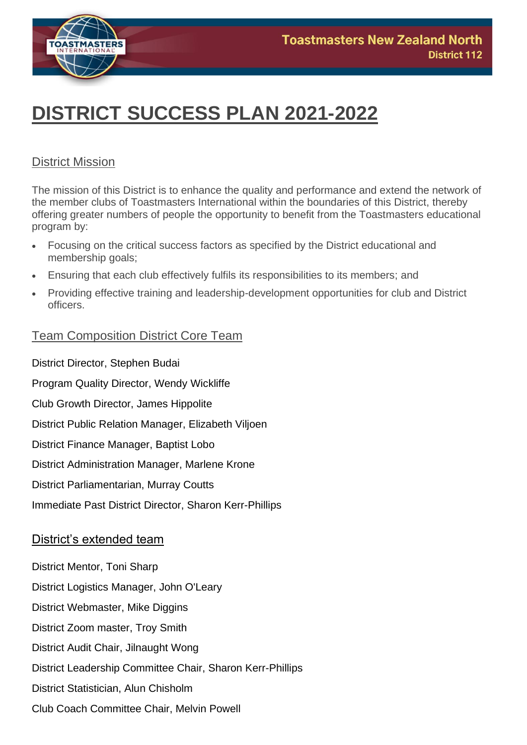

# **DISTRICT SUCCESS PLAN 2021-2022**

## District Mission

The mission of this District is to enhance the quality and performance and extend the network of the member clubs of Toastmasters International within the boundaries of this District, thereby offering greater numbers of people the opportunity to benefit from the Toastmasters educational program by:

- Focusing on the critical success factors as specified by the District educational and membership goals;
- Ensuring that each club effectively fulfils its responsibilities to its members; and
- Providing effective training and leadership-development opportunities for club and District officers.

## Team Composition District Core Team

District Director, Stephen Budai Program Quality Director, Wendy Wickliffe Club Growth Director, James Hippolite District Public Relation Manager, Elizabeth Viljoen District Finance Manager, Baptist Lobo District Administration Manager, Marlene Krone District Parliamentarian, Murray Coutts Immediate Past District Director, Sharon Kerr-Phillips District's extended team District Mentor, Toni Sharp District Logistics Manager, John O'Leary District Webmaster, Mike Diggins

- District Zoom master, Troy Smith
- District Audit Chair, Jilnaught Wong
- District Leadership Committee Chair, Sharon Kerr-Phillips
- District Statistician, Alun Chisholm
- Club Coach Committee Chair, Melvin Powell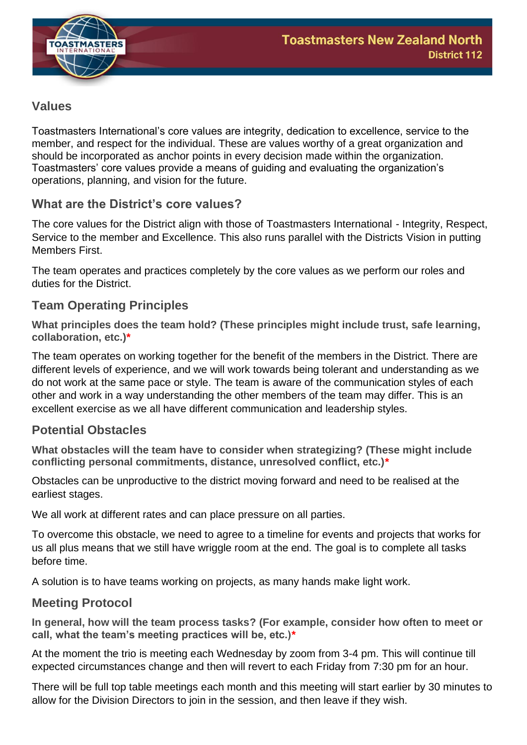

# **Values**

Toastmasters International's core values are integrity, dedication to excellence, service to the member, and respect for the individual. These are values worthy of a great organization and should be incorporated as anchor points in every decision made within the organization. Toastmasters' core values provide a means of guiding and evaluating the organization's operations, planning, and vision for the future.

# **What are the District's core values?**

The core values for the District align with those of Toastmasters International - Integrity, Respect, Service to the member and Excellence. This also runs parallel with the Districts Vision in putting Members First.

The team operates and practices completely by the core values as we perform our roles and duties for the District.

# **Team Operating Principles**

**What principles does the team hold? (These principles might include trust, safe learning, collaboration, etc.)\***

The team operates on working together for the benefit of the members in the District. There are different levels of experience, and we will work towards being tolerant and understanding as we do not work at the same pace or style. The team is aware of the communication styles of each other and work in a way understanding the other members of the team may differ. This is an excellent exercise as we all have different communication and leadership styles.

# **Potential Obstacles**

**What obstacles will the team have to consider when strategizing? (These might include conflicting personal commitments, distance, unresolved conflict, etc.)\***

Obstacles can be unproductive to the district moving forward and need to be realised at the earliest stages.

We all work at different rates and can place pressure on all parties.

To overcome this obstacle, we need to agree to a timeline for events and projects that works for us all plus means that we still have wriggle room at the end. The goal is to complete all tasks before time.

A solution is to have teams working on projects, as many hands make light work.

# **Meeting Protocol**

**In general, how will the team process tasks? (For example, consider how often to meet or call, what the team's meeting practices will be, etc.)\***

At the moment the trio is meeting each Wednesday by zoom from 3-4 pm. This will continue till expected circumstances change and then will revert to each Friday from 7:30 pm for an hour.

There will be full top table meetings each month and this meeting will start earlier by 30 minutes to allow for the Division Directors to join in the session, and then leave if they wish.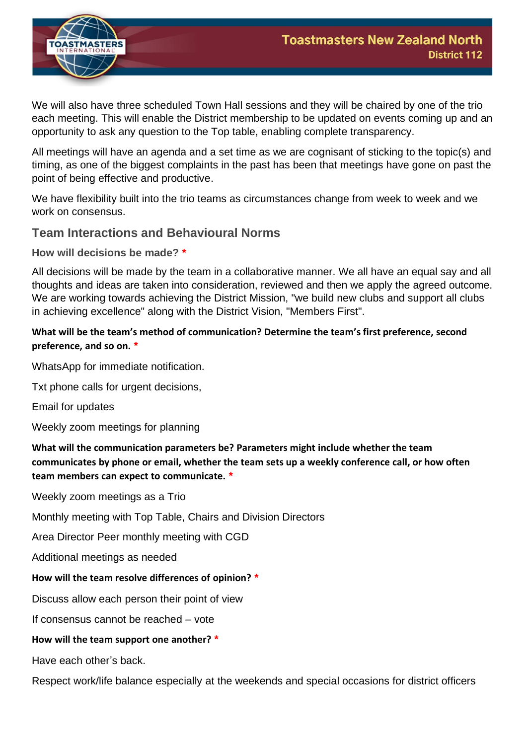

We will also have three scheduled Town Hall sessions and they will be chaired by one of the trio each meeting. This will enable the District membership to be updated on events coming up and an opportunity to ask any question to the Top table, enabling complete transparency.

All meetings will have an agenda and a set time as we are cognisant of sticking to the topic(s) and timing, as one of the biggest complaints in the past has been that meetings have gone on past the point of being effective and productive.

We have flexibility built into the trio teams as circumstances change from week to week and we work on consensus.

## **Team Interactions and Behavioural Norms**

**How will decisions be made? \***

All decisions will be made by the team in a collaborative manner. We all have an equal say and all thoughts and ideas are taken into consideration, reviewed and then we apply the agreed outcome. We are working towards achieving the District Mission, "we build new clubs and support all clubs in achieving excellence" along with the District Vision, "Members First".

## **What will be the team's method of communication? Determine the team's first preference, second preference, and so on. \***

WhatsApp for immediate notification.

Txt phone calls for urgent decisions,

Email for updates

Weekly zoom meetings for planning

**What will the communication parameters be? Parameters might include whether the team communicates by phone or email, whether the team sets up a weekly conference call, or how often team members can expect to communicate. \***

Weekly zoom meetings as a Trio

Monthly meeting with Top Table, Chairs and Division Directors

Area Director Peer monthly meeting with CGD

Additional meetings as needed

#### **How will the team resolve differences of opinion? \***

Discuss allow each person their point of view

If consensus cannot be reached – vote

#### **How will the team support one another? \***

Have each other's back.

Respect work/life balance especially at the weekends and special occasions for district officers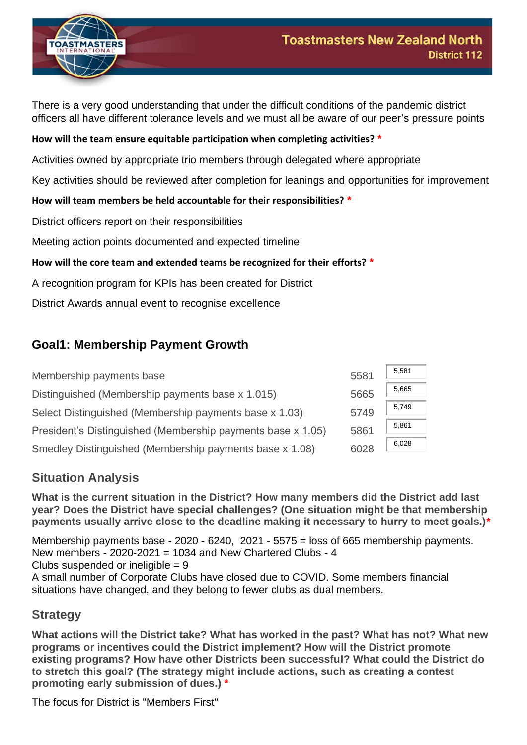



There is a very good understanding that under the difficult conditions of the pandemic district officers all have different tolerance levels and we must all be aware of our peer's pressure points

## **How will the team ensure equitable participation when completing activities? \***

Activities owned by appropriate trio members through delegated where appropriate

Key activities should be reviewed after completion for leanings and opportunities for improvement

## **How will team members be held accountable for their responsibilities? \***

District officers report on their responsibilities

Meeting action points documented and expected timeline

#### **How will the core team and extended teams be recognized for their efforts? \***

A recognition program for KPIs has been created for District

District Awards annual event to recognise excellence

# **Goal1: Membership Payment Growth**

| Membership payments base                                    | 5581 | 5,581 |
|-------------------------------------------------------------|------|-------|
| Distinguished (Membership payments base x 1.015)            | 5665 | 5,665 |
| Select Distinguished (Membership payments base x 1.03)      | 5749 | 5,749 |
| President's Distinguished (Membership payments base x 1.05) | 5861 | 5,861 |
| Smedley Distinguished (Membership payments base x 1.08)     | 6028 | 6,028 |

# **Situation Analysis**

**What is the current situation in the District? How many members did the District add last year? Does the District have special challenges? (One situation might be that membership payments usually arrive close to the deadline making it necessary to hurry to meet goals.)\***

Membership payments base - 2020 - 6240, 2021 - 5575 = loss of 665 membership payments. New members - 2020-2021 = 1034 and New Chartered Clubs - 4 Clubs suspended or ineligible  $= 9$ A small number of Corporate Clubs have closed due to COVID. Some members financial situations have changed, and they belong to fewer clubs as dual members.

## **Strategy**

**What actions will the District take? What has worked in the past? What has not? What new programs or incentives could the District implement? How will the District promote existing programs? How have other Districts been successful? What could the District do to stretch this goal? (The strategy might include actions, such as creating a contest promoting early submission of dues.) \***

The focus for District is "Members First"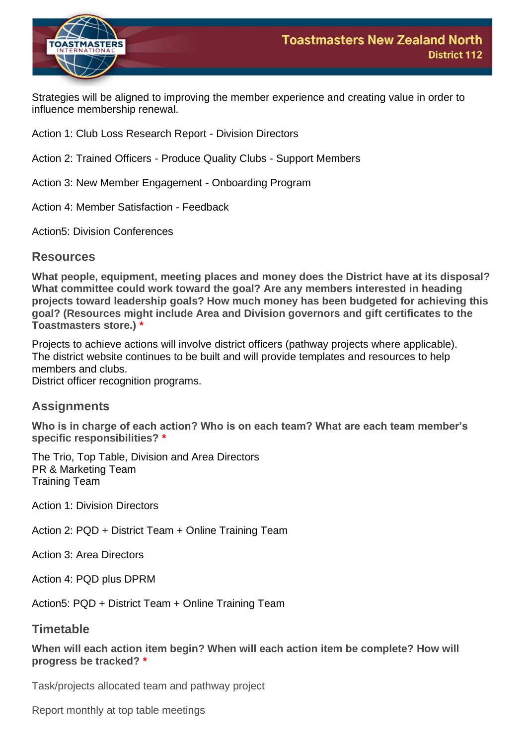

Strategies will be aligned to improving the member experience and creating value in order to influence membership renewal.

Action 1: Club Loss Research Report - Division Directors

Action 2: Trained Officers - Produce Quality Clubs - Support Members

Action 3: New Member Engagement - Onboarding Program

Action 4: Member Satisfaction - Feedback

Action5: Division Conferences

#### **Resources**

**What people, equipment, meeting places and money does the District have at its disposal? What committee could work toward the goal? Are any members interested in heading projects toward leadership goals? How much money has been budgeted for achieving this goal? (Resources might include Area and Division governors and gift certificates to the Toastmasters store.) \***

Projects to achieve actions will involve district officers (pathway projects where applicable). The district website continues to be built and will provide templates and resources to help members and clubs. District officer recognition programs.

## **Assignments**

**Who is in charge of each action? Who is on each team? What are each team member's specific responsibilities? \***

The Trio, Top Table, Division and Area Directors PR & Marketing Team Training Team

Action 1: Division Directors

Action 2: PQD + District Team + Online Training Team

Action 3: Area Directors

Action 4: PQD plus DPRM

Action5: PQD + District Team + Online Training Team

## **Timetable**

**When will each action item begin? When will each action item be complete? How will progress be tracked? \***

Task/projects allocated team and pathway project

Report monthly at top table meetings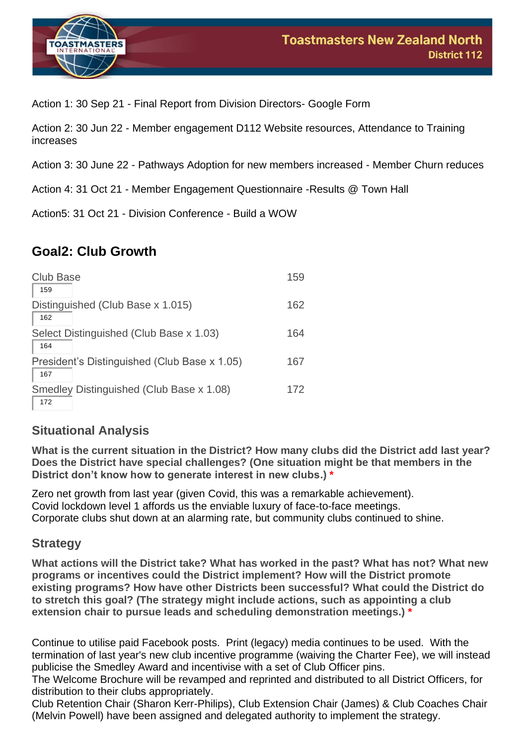

Action 1: 30 Sep 21 - Final Report from Division Directors- Google Form

Action 2: 30 Jun 22 - Member engagement D112 Website resources, Attendance to Training increases

Action 3: 30 June 22 - Pathways Adoption for new members increased - Member Churn reduces

Action 4: 31 Oct 21 - Member Engagement Questionnaire -Results @ Town Hall

Action5: 31 Oct 21 - Division Conference - Build a WOW

# **Goal2: Club Growth**

| <b>Club Base</b><br>159                             | 159 |
|-----------------------------------------------------|-----|
| Distinguished (Club Base x 1.015)<br>162            | 162 |
| Select Distinguished (Club Base x 1.03)<br>164      | 164 |
| President's Distinguished (Club Base x 1.05)<br>167 | 167 |
| Smedley Distinguished (Club Base x 1.08)<br>172     | 172 |

# **Situational Analysis**

**What is the current situation in the District? How many clubs did the District add last year? Does the District have special challenges? (One situation might be that members in the District don't know how to generate interest in new clubs.) \***

Zero net growth from last year (given Covid, this was a remarkable achievement). Covid lockdown level 1 affords us the enviable luxury of face-to-face meetings. Corporate clubs shut down at an alarming rate, but community clubs continued to shine.

# **Strategy**

**What actions will the District take? What has worked in the past? What has not? What new programs or incentives could the District implement? How will the District promote existing programs? How have other Districts been successful? What could the District do to stretch this goal? (The strategy might include actions, such as appointing a club extension chair to pursue leads and scheduling demonstration meetings.) \***

Continue to utilise paid Facebook posts. Print (legacy) media continues to be used. With the termination of last year's new club incentive programme (waiving the Charter Fee), we will instead publicise the Smedley Award and incentivise with a set of Club Officer pins.

The Welcome Brochure will be revamped and reprinted and distributed to all District Officers, for distribution to their clubs appropriately.

Club Retention Chair (Sharon Kerr-Philips), Club Extension Chair (James) & Club Coaches Chair (Melvin Powell) have been assigned and delegated authority to implement the strategy.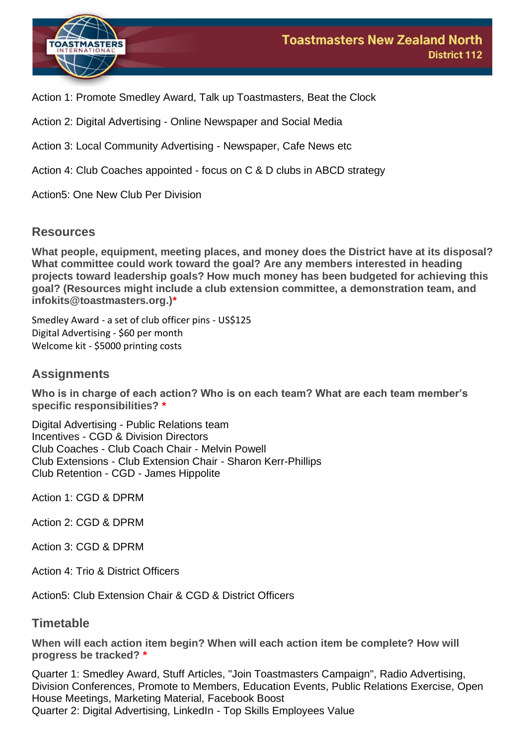

Action 1: Promote Smedley Award, Talk up Toastmasters, Beat the Clock

Action 2: Digital Advertising - Online Newspaper and Social Media

Action 3: Local Community Advertising - Newspaper, Cafe News etc

Action 4: Club Coaches appointed - focus on C & D clubs in ABCD strategy

Action5: One New Club Per Division

#### **Resources**

**What people, equipment, meeting places, and money does the District have at its disposal? What committee could work toward the goal? Are any members interested in heading projects toward leadership goals? How much money has been budgeted for achieving this goal? (Resources might include a club extension committee, a demonstration team, and infokits@toastmasters.org.)\***

Smedley Award - a set of club officer pins - US\$125 Digital Advertising - \$60 per month Welcome kit - \$5000 printing costs

## **Assignments**

**Who is in charge of each action? Who is on each team? What are each team member's specific responsibilities? \***

Digital Advertising - Public Relations team Incentives - CGD & Division Directors Club Coaches - Club Coach Chair - Melvin Powell Club Extensions - Club Extension Chair - Sharon Kerr-Phillips Club Retention - CGD - James Hippolite

Action 1: CGD & DPRM

Action 2: CGD & DPRM

Action 3: CGD & DPRM

Action 4: Trio & District Officers

Action5: Club Extension Chair & CGD & District Officers

#### **Timetable**

**When will each action item begin? When will each action item be complete? How will progress be tracked? \***

Quarter 1: Smedley Award, Stuff Articles, "Join Toastmasters Campaign", Radio Advertising, Division Conferences, Promote to Members, Education Events, Public Relations Exercise, Open House Meetings, Marketing Material, Facebook Boost Quarter 2: Digital Advertising, LinkedIn - Top Skills Employees Value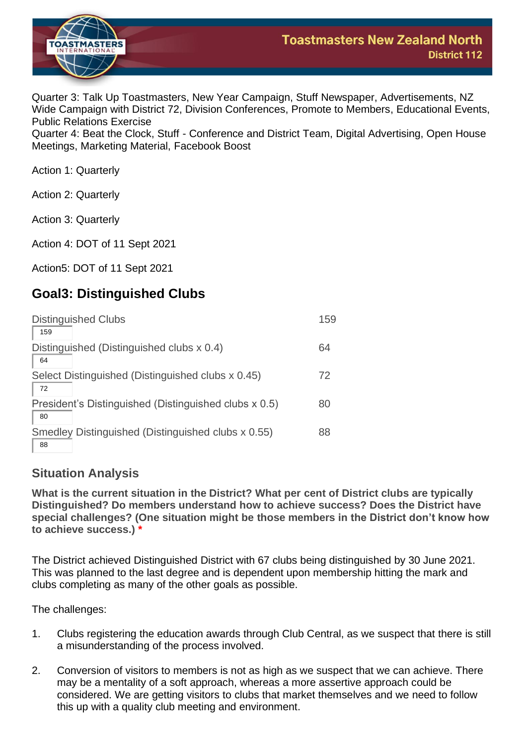

Quarter 3: Talk Up Toastmasters, New Year Campaign, Stuff Newspaper, Advertisements, NZ Wide Campaign with District 72, Division Conferences, Promote to Members, Educational Events, Public Relations Exercise

**District 112** 

Quarter 4: Beat the Clock, Stuff - Conference and District Team, Digital Advertising, Open House Meetings, Marketing Material, Facebook Boost

Action 1: Quarterly

Action 2: Quarterly

Action 3: Quarterly

Action 4: DOT of 11 Sept 2021

Action5: DOT of 11 Sept 2021

# **Goal3: Distinguished Clubs**

| <b>Distinguished Clubs</b><br>159                           | 159 |
|-------------------------------------------------------------|-----|
| Distinguished (Distinguished clubs x 0.4)<br>64             | 64  |
| Select Distinguished (Distinguished clubs x 0.45)           | 72  |
| 72<br>President's Distinguished (Distinguished clubs x 0.5) | 80  |
| 80<br>Smedley Distinguished (Distinguished clubs x 0.55)    | 88  |
| 88                                                          |     |

# **Situation Analysis**

**What is the current situation in the District? What per cent of District clubs are typically Distinguished? Do members understand how to achieve success? Does the District have special challenges? (One situation might be those members in the District don't know how to achieve success.) \***

The District achieved Distinguished District with 67 clubs being distinguished by 30 June 2021. This was planned to the last degree and is dependent upon membership hitting the mark and clubs completing as many of the other goals as possible.

The challenges:

- 1. Clubs registering the education awards through Club Central, as we suspect that there is still a misunderstanding of the process involved.
- 2. Conversion of visitors to members is not as high as we suspect that we can achieve. There may be a mentality of a soft approach, whereas a more assertive approach could be considered. We are getting visitors to clubs that market themselves and we need to follow this up with a quality club meeting and environment.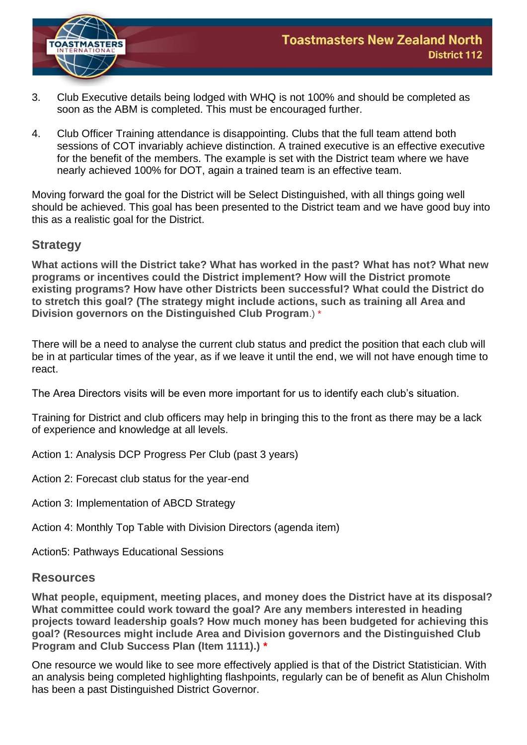

- 3. Club Executive details being lodged with WHQ is not 100% and should be completed as soon as the ABM is completed. This must be encouraged further.
- 4. Club Officer Training attendance is disappointing. Clubs that the full team attend both sessions of COT invariably achieve distinction. A trained executive is an effective executive for the benefit of the members. The example is set with the District team where we have nearly achieved 100% for DOT, again a trained team is an effective team.

Moving forward the goal for the District will be Select Distinguished, with all things going well should be achieved. This goal has been presented to the District team and we have good buy into this as a realistic goal for the District.

## **Strategy**

**What actions will the District take? What has worked in the past? What has not? What new programs or incentives could the District implement? How will the District promote existing programs? How have other Districts been successful? What could the District do to stretch this goal? (The strategy might include actions, such as training all Area and Division governors on the Distinguished Club Program**.) \*

There will be a need to analyse the current club status and predict the position that each club will be in at particular times of the year, as if we leave it until the end, we will not have enough time to react.

The Area Directors visits will be even more important for us to identify each club's situation.

Training for District and club officers may help in bringing this to the front as there may be a lack of experience and knowledge at all levels.

- Action 1: Analysis DCP Progress Per Club (past 3 years)
- Action 2: Forecast club status for the year-end
- Action 3: Implementation of ABCD Strategy

Action 4: Monthly Top Table with Division Directors (agenda item)

Action5: Pathways Educational Sessions

## **Resources**

**What people, equipment, meeting places, and money does the District have at its disposal? What committee could work toward the goal? Are any members interested in heading projects toward leadership goals? How much money has been budgeted for achieving this goal? (Resources might include Area and Division governors and the Distinguished Club Program and Club Success Plan (Item 1111).) \***

One resource we would like to see more effectively applied is that of the District Statistician. With an analysis being completed highlighting flashpoints, regularly can be of benefit as Alun Chisholm has been a past Distinguished District Governor.